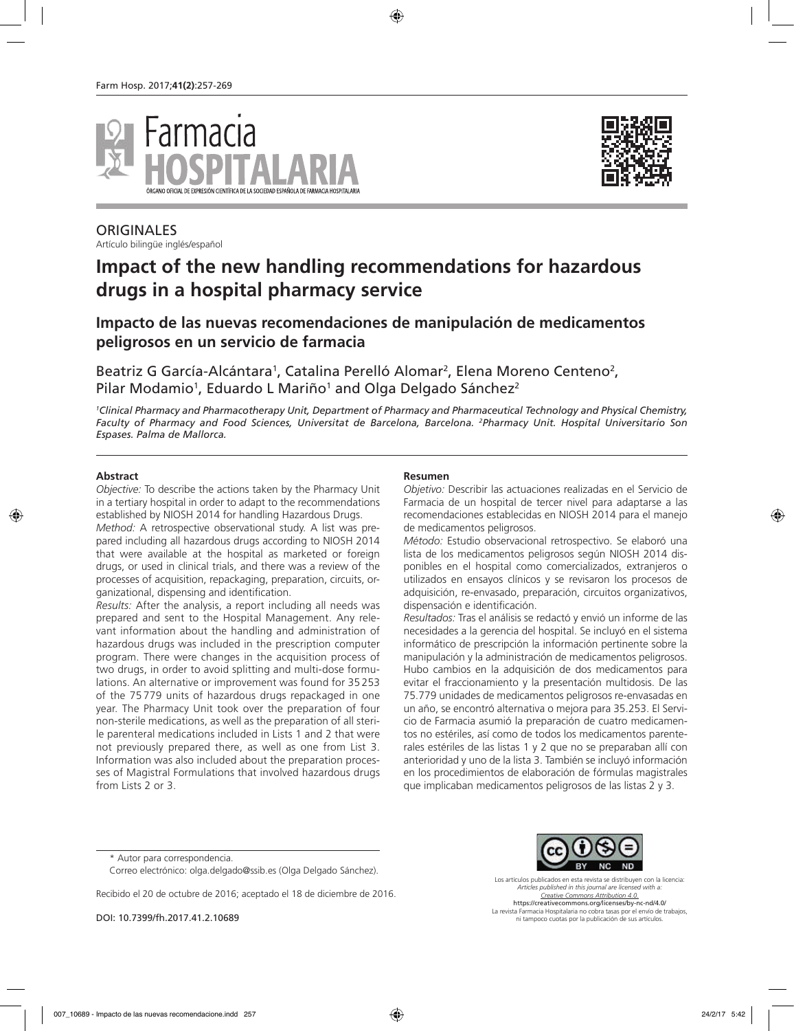



**ORIGINALES** Artículo bilingüe inglés/español

# **Impact of the new handling recommendations for hazardous drugs in a hospital pharmacy service**

## **Impacto de las nuevas recomendaciones de manipulación de medicamentos peligrosos en un servicio de farmacia**

Beatriz G García-Alcántara<sup>1</sup>, Catalina Perelló Alomar<sup>2</sup>, Elena Moreno Centeno<sup>2</sup>, Pilar Modamio<sup>1</sup>, Eduardo L Mariño<sup>1</sup> and Olga Delgado Sánchez<sup>2</sup>

*1 Clinical Pharmacy and Pharmacotherapy Unit, Department of Pharmacy and Pharmaceutical Technology and Physical Chemistry, Faculty of Pharmacy and Food Sciences, Universitat de Barcelona, Barcelona. 2 Pharmacy Unit. Hospital Universitario Son Espases. Palma de Mallorca.*

#### **Abstract**

*Objective:* To describe the actions taken by the Pharmacy Unit in a tertiary hospital in order to adapt to the recommendations established by NIOSH 2014 for handling Hazardous Drugs.

*Method:* A retrospective observational study. A list was prepared including all hazardous drugs according to NIOSH 2014 that were available at the hospital as marketed or foreign drugs, or used in clinical trials, and there was a review of the processes of acquisition, repackaging, preparation, circuits, organizational, dispensing and identification.

*Results:* After the analysis, a report including all needs was prepared and sent to the Hospital Management. Any relevant information about the handling and administration of hazardous drugs was included in the prescription computer program. There were changes in the acquisition process of two drugs, in order to avoid splitting and multi-dose formulations. An alternative or improvement was found for 35 253 of the 75 779 units of hazardous drugs repackaged in one year. The Pharmacy Unit took over the preparation of four non-sterile medications, as well as the preparation of all sterile parenteral medications included in Lists 1 and 2 that were not previously prepared there, as well as one from List 3. Information was also included about the preparation processes of Magistral Formulations that involved hazardous drugs from Lists 2 or 3.

#### **Resumen**

*Objetivo:* Describir las actuaciones realizadas en el Servicio de Farmacia de un hospital de tercer nivel para adaptarse a las recomendaciones establecidas en NIOSH 2014 para el manejo de medicamentos peligrosos.

*Método:* Estudio observacional retrospectivo. Se elaboró una lista de los medicamentos peligrosos según NIOSH 2014 disponibles en el hospital como comercializados, extranjeros o utilizados en ensayos clínicos y se revisaron los procesos de adquisición, re-envasado, preparación, circuitos organizativos, dispensación e identificación.

*Resultados:* Tras el análisis se redactó y envió un informe de las necesidades a la gerencia del hospital. Se incluyó en el sistema informático de prescripción la información pertinente sobre la manipulación y la administración de medicamentos peligrosos. Hubo cambios en la adquisición de dos medicamentos para evitar el fraccionamiento y la presentación multidosis. De las 75.779 unidades de medicamentos peligrosos re-envasadas en un año, se encontró alternativa o mejora para 35.253. El Servicio de Farmacia asumió la preparación de cuatro medicamentos no estériles, así como de todos los medicamentos parenterales estériles de las listas 1 y 2 que no se preparaban allí con anterioridad y uno de la lista 3. También se incluyó información en los procedimientos de elaboración de fórmulas magistrales que implicaban medicamentos peligrosos de las listas 2 y 3.

Recibido el 20 de octubre de 2016; aceptado el 18 de diciembre de 2016.

DOI: 10.7399/fh.2017.41.2.10689

Los artículos publicados en esta revista se distribuyen con la licencia: *Articles published in this journal are licensed with a: Creative Commons Attribution 4.0.*

https://creativecommons.org/licenses/by-nc-nd/4.0/ La revista Farmacia Hospitalaria no cobra tasas por el envío de trabajos, ni tampoco cuotas por la publicación de sus artículos.

<sup>\*</sup> Autor para correspondencia.

Correo electrónico: olga.delgado@ssib.es (Olga Delgado Sánchez).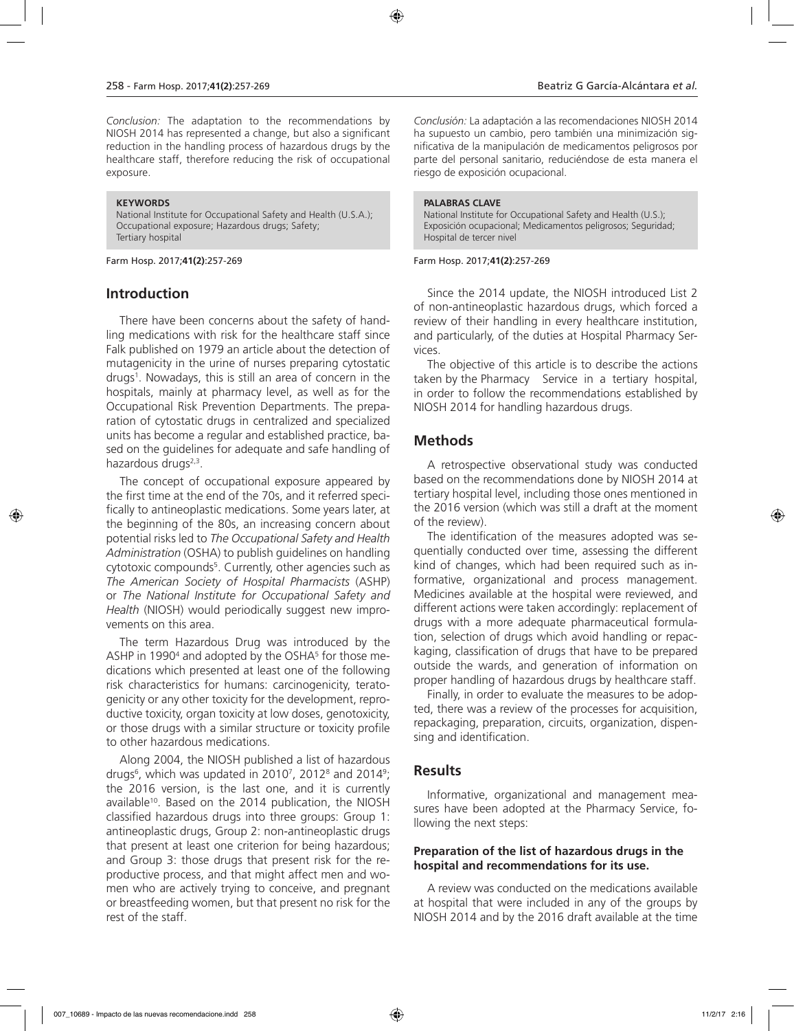*Conclusion:* The adaptation to the recommendations by NIOSH 2014 has represented a change, but also a significant reduction in the handling process of hazardous drugs by the healthcare staff, therefore reducing the risk of occupational exposure.

#### **KEYWORDS**

National Institute for Occupational Safety and Health (U.S.A.); Occupational exposure; Hazardous drugs; Safety; Tertiary hospital

Farm Hosp. 2017;**41(2)**:257-269

## **Introduction**

There have been concerns about the safety of handling medications with risk for the healthcare staff since Falk published on 1979 an article about the detection of mutagenicity in the urine of nurses preparing cytostatic drugs1 . Nowadays, this is still an area of concern in the hospitals, mainly at pharmacy level, as well as for the Occupational Risk Prevention Departments. The preparation of cytostatic drugs in centralized and specialized units has become a regular and established practice, based on the guidelines for adequate and safe handling of hazardous drugs<sup>2,3</sup>.

The concept of occupational exposure appeared by the first time at the end of the 70s, and it referred specifically to antineoplastic medications. Some years later, at the beginning of the 80s, an increasing concern about potential risks led to *The Occupational Safety and Health Administration* (OSHA) to publish guidelines on handling cytotoxic compounds<sup>5</sup>. Currently, other agencies such as *The American Society of Hospital Pharmacists* (ASHP) or *The National Institute for Occupational Safety and Health* (NIOSH) would periodically suggest new improvements on this area.

The term Hazardous Drug was introduced by the ASHP in 1990<sup>4</sup> and adopted by the OSHA<sup>5</sup> for those medications which presented at least one of the following risk characteristics for humans: carcinogenicity, teratogenicity or any other toxicity for the development, reproductive toxicity, organ toxicity at low doses, genotoxicity, or those drugs with a similar structure or toxicity profile to other hazardous medications.

Along 2004, the NIOSH published a list of hazardous drugs<sup>6</sup>, which was updated in 2010<sup>7</sup>, 2012<sup>8</sup> and 2014<sup>9</sup>; the 2016 version, is the last one, and it is currently available<sup>10</sup>. Based on the 2014 publication, the NIOSH classified hazardous drugs into three groups: Group 1: antineoplastic drugs, Group 2: non-antineoplastic drugs that present at least one criterion for being hazardous; and Group 3: those drugs that present risk for the reproductive process, and that might affect men and women who are actively trying to conceive, and pregnant or breastfeeding women, but that present no risk for the rest of the staff.

*Conclusión:* La adaptación a las recomendaciones NIOSH 2014 ha supuesto un cambio, pero también una minimización significativa de la manipulación de medicamentos peligrosos por parte del personal sanitario, reduciéndose de esta manera el riesgo de exposición ocupacional.

#### **PALABRAS CLAVE**

National Institute for Occupational Safety and Health (U.S.); Exposición ocupacional; Medicamentos peligrosos; Seguridad; Hospital de tercer nivel

#### Farm Hosp. 2017;**41(2)**:257-269

Since the 2014 update, the NIOSH introduced List 2 of non-antineoplastic hazardous drugs, which forced a review of their handling in every healthcare institution, and particularly, of the duties at Hospital Pharmacy Services.

The objective of this article is to describe the actions taken by the Pharmacy Service in a tertiary hospital, in order to follow the recommendations established by NIOSH 2014 for handling hazardous drugs.

## **Methods**

A retrospective observational study was conducted based on the recommendations done by NIOSH 2014 at tertiary hospital level, including those ones mentioned in the 2016 version (which was still a draft at the moment of the review).

The identification of the measures adopted was sequentially conducted over time, assessing the different kind of changes, which had been required such as informative, organizational and process management. Medicines available at the hospital were reviewed, and different actions were taken accordingly: replacement of drugs with a more adequate pharmaceutical formulation, selection of drugs which avoid handling or repackaging, classification of drugs that have to be prepared outside the wards, and generation of information on proper handling of hazardous drugs by healthcare staff.

Finally, in order to evaluate the measures to be adopted, there was a review of the processes for acquisition, repackaging, preparation, circuits, organization, dispensing and identification.

## **Results**

Informative, organizational and management measures have been adopted at the Pharmacy Service, following the next steps:

#### **Preparation of the list of hazardous drugs in the hospital and recommendations for its use.**

A review was conducted on the medications available at hospital that were included in any of the groups by NIOSH 2014 and by the 2016 draft available at the time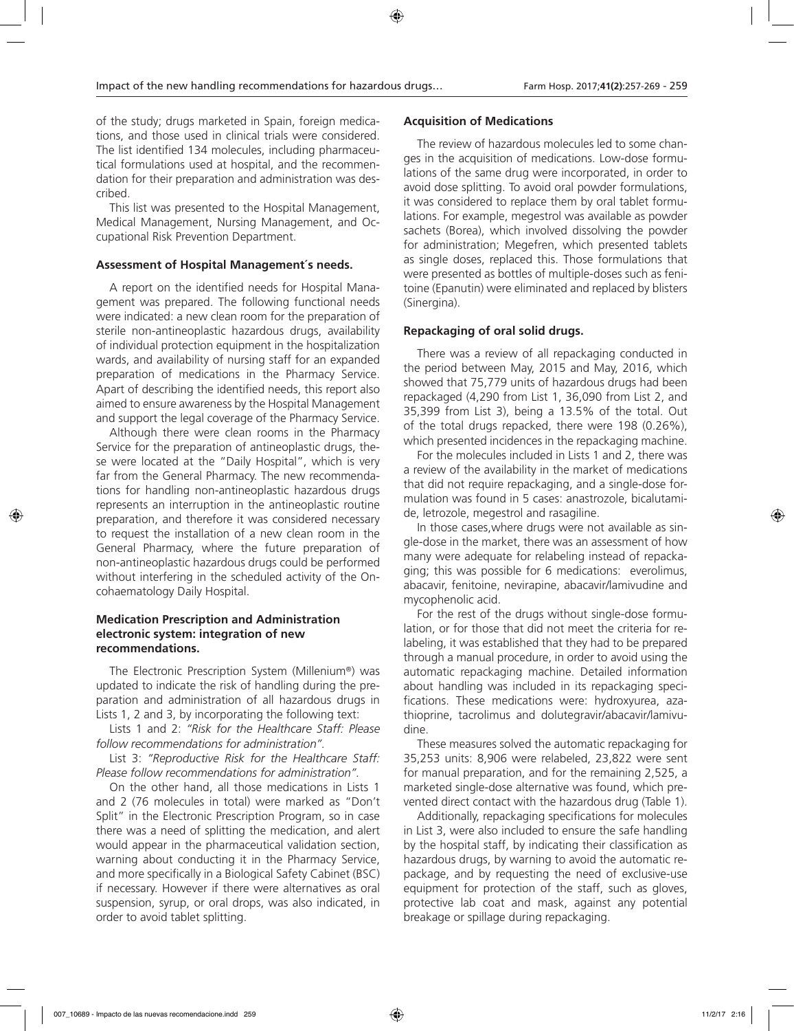of the study; drugs marketed in Spain, foreign medications, and those used in clinical trials were considered. The list identified 134 molecules, including pharmaceutical formulations used at hospital, and the recommendation for their preparation and administration was described.

This list was presented to the Hospital Management, Medical Management, Nursing Management, and Occupational Risk Prevention Department.

#### **Assessment of Hospital Management´s needs.**

A report on the identified needs for Hospital Management was prepared. The following functional needs were indicated: a new clean room for the preparation of sterile non-antineoplastic hazardous drugs, availability of individual protection equipment in the hospitalization wards, and availability of nursing staff for an expanded preparation of medications in the Pharmacy Service. Apart of describing the identified needs, this report also aimed to ensure awareness by the Hospital Management and support the legal coverage of the Pharmacy Service.

Although there were clean rooms in the Pharmacy Service for the preparation of antineoplastic drugs, these were located at the "Daily Hospital", which is very far from the General Pharmacy. The new recommendations for handling non-antineoplastic hazardous drugs represents an interruption in the antineoplastic routine preparation, and therefore it was considered necessary to request the installation of a new clean room in the General Pharmacy, where the future preparation of non-antineoplastic hazardous drugs could be performed without interfering in the scheduled activity of the Oncohaematology Daily Hospital.

#### **Medication Prescription and Administration electronic system: integration of new recommendations.**

The Electronic Prescription System (Millenium®) was updated to indicate the risk of handling during the preparation and administration of all hazardous drugs in Lists 1, 2 and 3, by incorporating the following text:

Lists 1 and 2: *"Risk for the Healthcare Staff: Please follow recommendations for administration".* 

List 3: *"Reproductive Risk for the Healthcare Staff: Please follow recommendations for administration".* 

On the other hand, all those medications in Lists 1 and 2 (76 molecules in total) were marked as "Don't Split" in the Electronic Prescription Program, so in case there was a need of splitting the medication, and alert would appear in the pharmaceutical validation section, warning about conducting it in the Pharmacy Service, and more specifically in a Biological Safety Cabinet (BSC) if necessary. However if there were alternatives as oral suspension, syrup, or oral drops, was also indicated, in order to avoid tablet splitting.

#### **Acquisition of Medications**

The review of hazardous molecules led to some changes in the acquisition of medications. Low-dose formulations of the same drug were incorporated, in order to avoid dose splitting. To avoid oral powder formulations, it was considered to replace them by oral tablet formulations. For example, megestrol was available as powder sachets (Borea), which involved dissolving the powder for administration; Megefren, which presented tablets as single doses, replaced this. Those formulations that were presented as bottles of multiple-doses such as fenitoine (Epanutin) were eliminated and replaced by blisters (Sinergina).

#### **Repackaging of oral solid drugs.**

There was a review of all repackaging conducted in the period between May, 2015 and May, 2016, which showed that 75,779 units of hazardous drugs had been repackaged (4,290 from List 1, 36,090 from List 2, and 35,399 from List 3), being a 13.5% of the total. Out of the total drugs repacked, there were 198 (0.26%), which presented incidences in the repackaging machine.

For the molecules included in Lists 1 and 2, there was a review of the availability in the market of medications that did not require repackaging, and a single-dose formulation was found in 5 cases: anastrozole, bicalutamide, letrozole, megestrol and rasagiline.

In those cases,where drugs were not available as single-dose in the market, there was an assessment of how many were adequate for relabeling instead of repackaging; this was possible for 6 medications: everolimus, abacavir, fenitoine, nevirapine, abacavir/lamivudine and mycophenolic acid.

For the rest of the drugs without single-dose formulation, or for those that did not meet the criteria for relabeling, it was established that they had to be prepared through a manual procedure, in order to avoid using the automatic repackaging machine. Detailed information about handling was included in its repackaging specifications. These medications were: hydroxyurea, azathioprine, tacrolimus and dolutegravir/abacavir/lamivudine.

These measures solved the automatic repackaging for 35,253 units: 8,906 were relabeled, 23,822 were sent for manual preparation, and for the remaining 2,525, a marketed single-dose alternative was found, which prevented direct contact with the hazardous drug (Table 1).

Additionally, repackaging specifications for molecules in List 3, were also included to ensure the safe handling by the hospital staff, by indicating their classification as hazardous drugs, by warning to avoid the automatic repackage, and by requesting the need of exclusive-use equipment for protection of the staff, such as gloves, protective lab coat and mask, against any potential breakage or spillage during repackaging.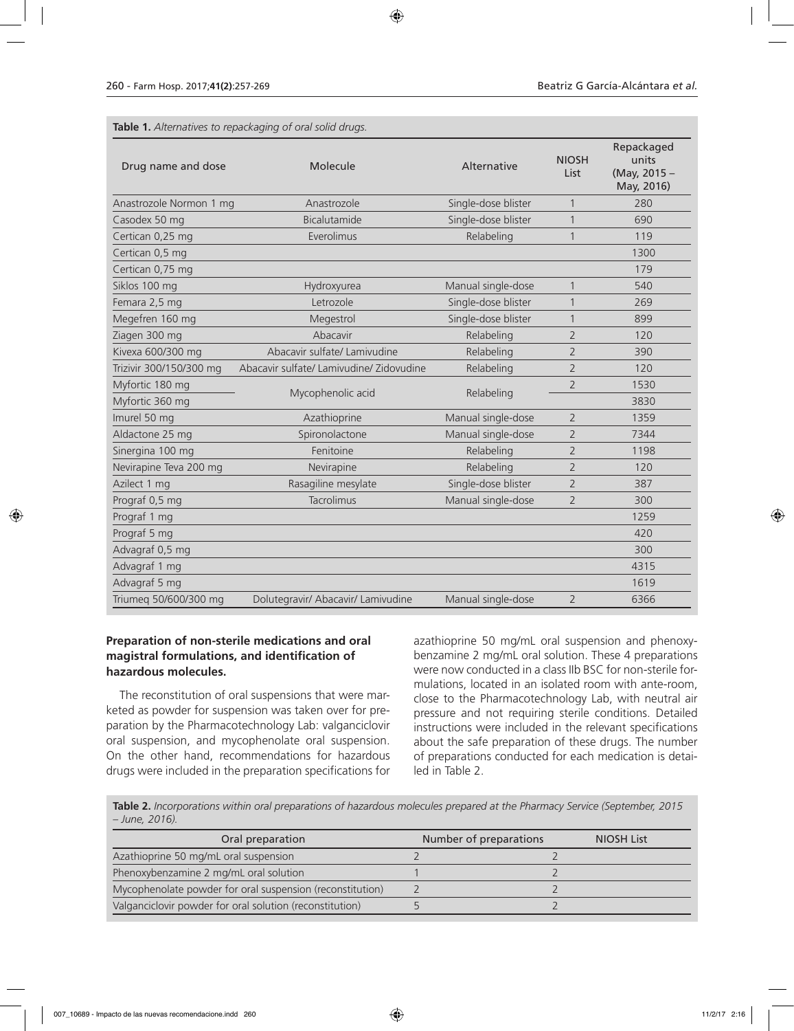**Table 1.** *Alternatives to repackaging of oral solid drugs.* 

| Drug name and dose      | Molecule                                 | Alternative         | <b>NIOSH</b><br>List | Repackaged<br>units<br>(May, 2015 -<br>May, 2016) |
|-------------------------|------------------------------------------|---------------------|----------------------|---------------------------------------------------|
| Anastrozole Normon 1 mg | Anastrozole                              | Single-dose blister | 1                    | 280                                               |
| Casodex 50 mg           | Bicalutamide                             | Single-dose blister | $\mathbf{1}$         | 690                                               |
| Certican 0,25 mg        | Everolimus                               | Relabeling          | $\mathbf{1}$         | 119                                               |
| Certican 0,5 mg         |                                          |                     |                      | 1300                                              |
| Certican 0,75 mg        |                                          |                     |                      | 179                                               |
| Siklos 100 mg           | Hydroxyurea                              | Manual single-dose  | $\mathbf{1}$         | 540                                               |
| Femara 2,5 mg           | Letrozole                                | Single-dose blister | $\mathbf{1}$         | 269                                               |
| Megefren 160 mg         | Megestrol                                | Single-dose blister | $\mathbf{1}$         | 899                                               |
| Ziagen 300 mg           | Abacavir                                 | Relabeling          | $\overline{2}$       | 120                                               |
| Kivexa 600/300 mg       | Abacavir sulfate/ Lamivudine             | Relabeling          | $\overline{2}$       | 390                                               |
| Trizivir 300/150/300 mg | Abacavir sulfate/ Lamivudine/ Zidovudine | Relabeling          | $\overline{2}$       | 120                                               |
| Myfortic 180 mg         | Mycophenolic acid                        | Relabeling          | $\overline{2}$       | 1530                                              |
| Myfortic 360 mg         |                                          |                     |                      | 3830                                              |
| Imurel 50 mg            | Azathioprine                             | Manual single-dose  | $\overline{2}$       | 1359                                              |
| Aldactone 25 mg         | Spironolactone                           | Manual single-dose  | $\overline{2}$       | 7344                                              |
| Sinergina 100 mg        | Fenitoine                                | Relabeling          | $\overline{2}$       | 1198                                              |
| Nevirapine Teva 200 mg  | Nevirapine                               | Relabeling          | $\overline{2}$       | 120                                               |
| Azilect 1 mg            | Rasagiline mesylate                      | Single-dose blister | $\overline{2}$       | 387                                               |
| Prograf 0,5 mg          | Tacrolimus                               | Manual single-dose  | $\overline{2}$       | 300                                               |
| Prograf 1 mg            |                                          |                     |                      | 1259                                              |
| Prograf 5 mg            |                                          |                     |                      | 420                                               |
| Advagraf 0,5 mg         |                                          |                     |                      | 300                                               |
| Advagraf 1 mg           |                                          |                     |                      | 4315                                              |
| Advagraf 5 mg           |                                          |                     |                      | 1619                                              |
| Triumeq 50/600/300 mg   | Dolutegravir/ Abacavir/ Lamivudine       | Manual single-dose  | $\overline{2}$       | 6366                                              |

### **Preparation of non-sterile medications and oral magistral formulations, and identification of hazardous molecules.**

The reconstitution of oral suspensions that were marketed as powder for suspension was taken over for preparation by the Pharmacotechnology Lab: valganciclovir oral suspension, and mycophenolate oral suspension. On the other hand, recommendations for hazardous drugs were included in the preparation specifications for

azathioprine 50 mg/mL oral suspension and phenoxybenzamine 2 mg/mL oral solution. These 4 preparations were now conducted in a class IIb BSC for non-sterile formulations, located in an isolated room with ante-room, close to the Pharmacotechnology Lab, with neutral air pressure and not requiring sterile conditions. Detailed instructions were included in the relevant specifications about the safe preparation of these drugs. The number of preparations conducted for each medication is detailed in Table 2.

**Table 2.** *Incorporations within oral preparations of hazardous molecules prepared at the Pharmacy Service (September, 2015 – June, 2016).*

| Oral preparation                                          | Number of preparations | <b>NIOSH List</b> |
|-----------------------------------------------------------|------------------------|-------------------|
| Azathioprine 50 mg/mL oral suspension                     |                        |                   |
| Phenoxybenzamine 2 mg/mL oral solution                    |                        |                   |
| Mycophenolate powder for oral suspension (reconstitution) |                        |                   |
| Valganciclovir powder for oral solution (reconstitution)  |                        |                   |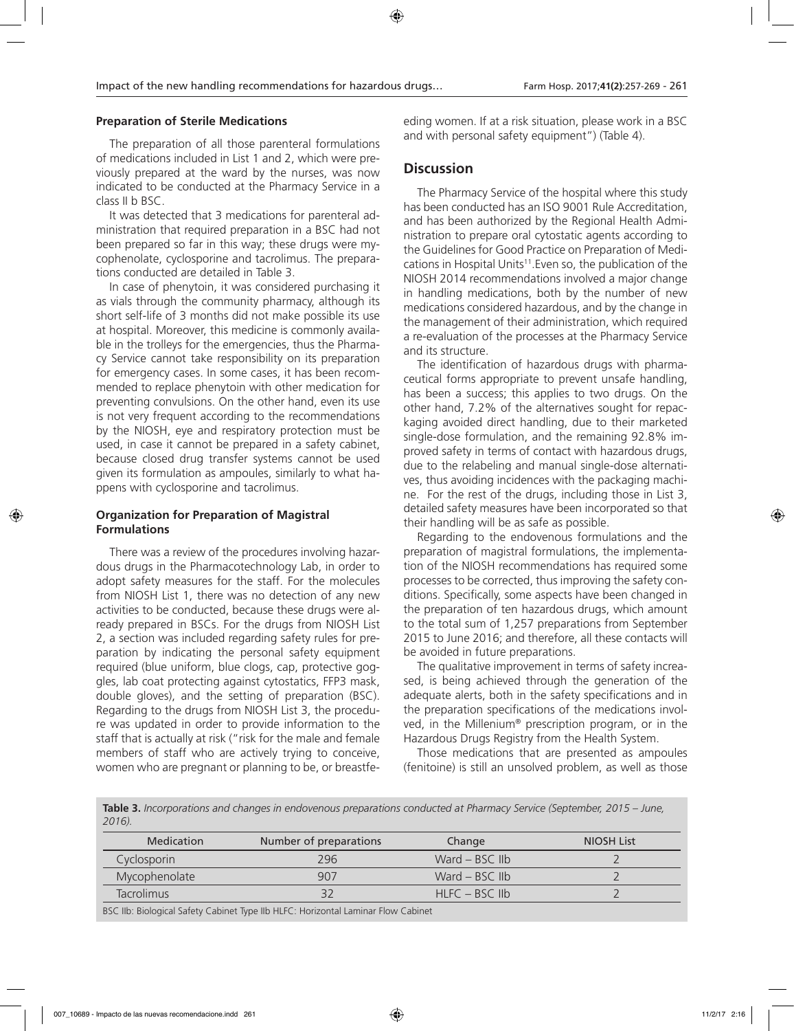#### **Preparation of Sterile Medications**

The preparation of all those parenteral formulations of medications included in List 1 and 2, which were previously prepared at the ward by the nurses, was now indicated to be conducted at the Pharmacy Service in a class II b BSC.

It was detected that 3 medications for parenteral administration that required preparation in a BSC had not been prepared so far in this way; these drugs were mycophenolate, cyclosporine and tacrolimus. The preparations conducted are detailed in Table 3.

In case of phenytoin, it was considered purchasing it as vials through the community pharmacy, although its short self-life of 3 months did not make possible its use at hospital. Moreover, this medicine is commonly available in the trolleys for the emergencies, thus the Pharmacy Service cannot take responsibility on its preparation for emergency cases. In some cases, it has been recommended to replace phenytoin with other medication for preventing convulsions. On the other hand, even its use is not very frequent according to the recommendations by the NIOSH, eye and respiratory protection must be used, in case it cannot be prepared in a safety cabinet, because closed drug transfer systems cannot be used given its formulation as ampoules, similarly to what happens with cyclosporine and tacrolimus.

#### **Organization for Preparation of Magistral Formulations**

There was a review of the procedures involving hazardous drugs in the Pharmacotechnology Lab, in order to adopt safety measures for the staff. For the molecules from NIOSH List 1, there was no detection of any new activities to be conducted, because these drugs were already prepared in BSCs. For the drugs from NIOSH List 2, a section was included regarding safety rules for preparation by indicating the personal safety equipment required (blue uniform, blue clogs, cap, protective goggles, lab coat protecting against cytostatics, FFP3 mask, double gloves), and the setting of preparation (BSC). Regarding to the drugs from NIOSH List 3, the procedure was updated in order to provide information to the staff that is actually at risk ("risk for the male and female members of staff who are actively trying to conceive, women who are pregnant or planning to be, or breastfeeding women. If at a risk situation, please work in a BSC and with personal safety equipment") (Table 4).

#### **Discussion**

The Pharmacy Service of the hospital where this study has been conducted has an ISO 9001 Rule Accreditation, and has been authorized by the Regional Health Administration to prepare oral cytostatic agents according to the Guidelines for Good Practice on Preparation of Medications in Hospital Units<sup>11</sup>. Even so, the publication of the NIOSH 2014 recommendations involved a major change in handling medications, both by the number of new medications considered hazardous, and by the change in the management of their administration, which required a re-evaluation of the processes at the Pharmacy Service and its structure.

The identification of hazardous drugs with pharmaceutical forms appropriate to prevent unsafe handling, has been a success; this applies to two drugs. On the other hand, 7.2% of the alternatives sought for repackaging avoided direct handling, due to their marketed single-dose formulation, and the remaining 92.8% improved safety in terms of contact with hazardous drugs, due to the relabeling and manual single-dose alternatives, thus avoiding incidences with the packaging machine. For the rest of the drugs, including those in List 3, detailed safety measures have been incorporated so that their handling will be as safe as possible.

Regarding to the endovenous formulations and the preparation of magistral formulations, the implementation of the NIOSH recommendations has required some processes to be corrected, thus improving the safety conditions. Specifically, some aspects have been changed in the preparation of ten hazardous drugs, which amount to the total sum of 1,257 preparations from September 2015 to June 2016; and therefore, all these contacts will be avoided in future preparations.

The qualitative improvement in terms of safety increased, is being achieved through the generation of the adequate alerts, both in the safety specifications and in the preparation specifications of the medications involved, in the Millenium® prescription program, or in the Hazardous Drugs Registry from the Health System.

Those medications that are presented as ampoules (fenitoine) is still an unsolved problem, as well as those

**Table 3.** *Incorporations and changes in endovenous preparations conducted at Pharmacy Service (September, 2015 – June, 2016).* 

| <b>Medication</b> | Number of preparations | Change             | NIOSH List |
|-------------------|------------------------|--------------------|------------|
| Cyclosporin       | 296                    | Ward $-$ BSC IIb   |            |
| Mycophenolate     | 907                    | Ward $-$ BSC IIb   |            |
| <b>Tacrolimus</b> |                        | $H LFC - BSC I lb$ |            |

BSC IIb: Biological Safety Cabinet Type IIb HLFC: Horizontal Laminar Flow Cabinet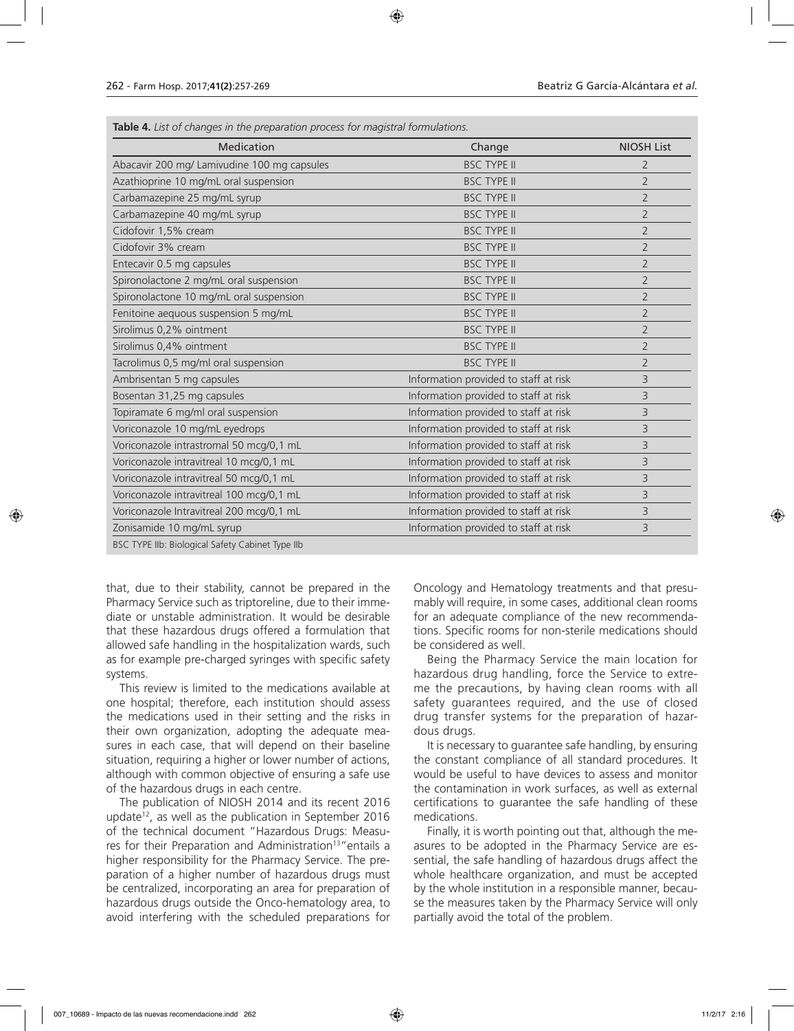| Medication                                       | Change                                | <b>NIOSH List</b> |
|--------------------------------------------------|---------------------------------------|-------------------|
| Abacavir 200 mg/ Lamivudine 100 mg capsules      | <b>BSC TYPE II</b>                    | $\overline{2}$    |
| Azathioprine 10 mg/mL oral suspension            | <b>BSC TYPE II</b>                    | $\overline{2}$    |
| Carbamazepine 25 mg/mL syrup                     | <b>BSC TYPE II</b>                    | $\overline{2}$    |
| Carbamazepine 40 mg/mL syrup                     | <b>BSC TYPE II</b>                    | $\overline{2}$    |
| Cidofovir 1,5% cream                             | <b>BSC TYPE II</b>                    | $\overline{2}$    |
| Cidofovir 3% cream                               | <b>BSC TYPE II</b>                    | $\overline{2}$    |
| Entecavir 0.5 mg capsules                        | <b>BSC TYPE II</b>                    | $\overline{2}$    |
| Spironolactone 2 mg/mL oral suspension           | <b>BSC TYPE II</b>                    | $\overline{2}$    |
| Spironolactone 10 mg/mL oral suspension          | <b>BSC TYPE II</b>                    | $\overline{2}$    |
| Fenitoine aequous suspension 5 mg/mL             | <b>BSC TYPE II</b>                    | $\overline{2}$    |
| Sirolimus 0,2% ointment                          | <b>BSC TYPE II</b>                    | $\overline{2}$    |
| Sirolimus 0,4% ointment                          | <b>BSC TYPE II</b>                    | $\overline{2}$    |
| Tacrolimus 0,5 mg/ml oral suspension             | <b>BSC TYPE II</b>                    | 2                 |
| Ambrisentan 5 mg capsules                        | Information provided to staff at risk | 3                 |
| Bosentan 31,25 mg capsules                       | Information provided to staff at risk | 3                 |
| Topiramate 6 mg/ml oral suspension               | Information provided to staff at risk | 3                 |
| Voriconazole 10 mg/mL eyedrops                   | Information provided to staff at risk | 3                 |
| Voriconazole intrastromal 50 mcg/0,1 mL          | Information provided to staff at risk | 3                 |
| Voriconazole intravitreal 10 mcg/0,1 mL          | Information provided to staff at risk | 3                 |
| Voriconazole intravitreal 50 mcg/0,1 mL          | Information provided to staff at risk | 3                 |
| Voriconazole intravitreal 100 mcg/0,1 mL         | Information provided to staff at risk | 3                 |
| Voriconazole Intravitreal 200 mcg/0,1 mL         | Information provided to staff at risk | 3                 |
| Zonisamide 10 mg/mL syrup                        | Information provided to staff at risk | 3                 |
| BSC TYPE IIb: Biological Safety Cabinet Type IIb |                                       |                   |

**Table 4.** *List of changes in the preparation process for magistral formulations.*

that, due to their stability, cannot be prepared in the Pharmacy Service such as triptoreline, due to their immediate or unstable administration. It would be desirable that these hazardous drugs offered a formulation that allowed safe handling in the hospitalization wards, such as for example pre-charged syringes with specific safety systems.

This review is limited to the medications available at one hospital; therefore, each institution should assess the medications used in their setting and the risks in their own organization, adopting the adequate measures in each case, that will depend on their baseline situation, requiring a higher or lower number of actions, although with common objective of ensuring a safe use of the hazardous drugs in each centre.

The publication of NIOSH 2014 and its recent 2016 update<sup>12</sup>, as well as the publication in September 2016 of the technical document "Hazardous Drugs: Measures for their Preparation and Administration<sup>13</sup>" entails a higher responsibility for the Pharmacy Service. The preparation of a higher number of hazardous drugs must be centralized, incorporating an area for preparation of hazardous drugs outside the Onco-hematology area, to avoid interfering with the scheduled preparations for

Oncology and Hematology treatments and that presumably will require, in some cases, additional clean rooms for an adequate compliance of the new recommendations. Specific rooms for non-sterile medications should be considered as well.

Being the Pharmacy Service the main location for hazardous drug handling, force the Service to extreme the precautions, by having clean rooms with all safety guarantees required, and the use of closed drug transfer systems for the preparation of hazardous drugs.

It is necessary to guarantee safe handling, by ensuring the constant compliance of all standard procedures. It would be useful to have devices to assess and monitor the contamination in work surfaces, as well as external certifications to guarantee the safe handling of these medications.

Finally, it is worth pointing out that, although the measures to be adopted in the Pharmacy Service are essential, the safe handling of hazardous drugs affect the whole healthcare organization, and must be accepted by the whole institution in a responsible manner, because the measures taken by the Pharmacy Service will only partially avoid the total of the problem.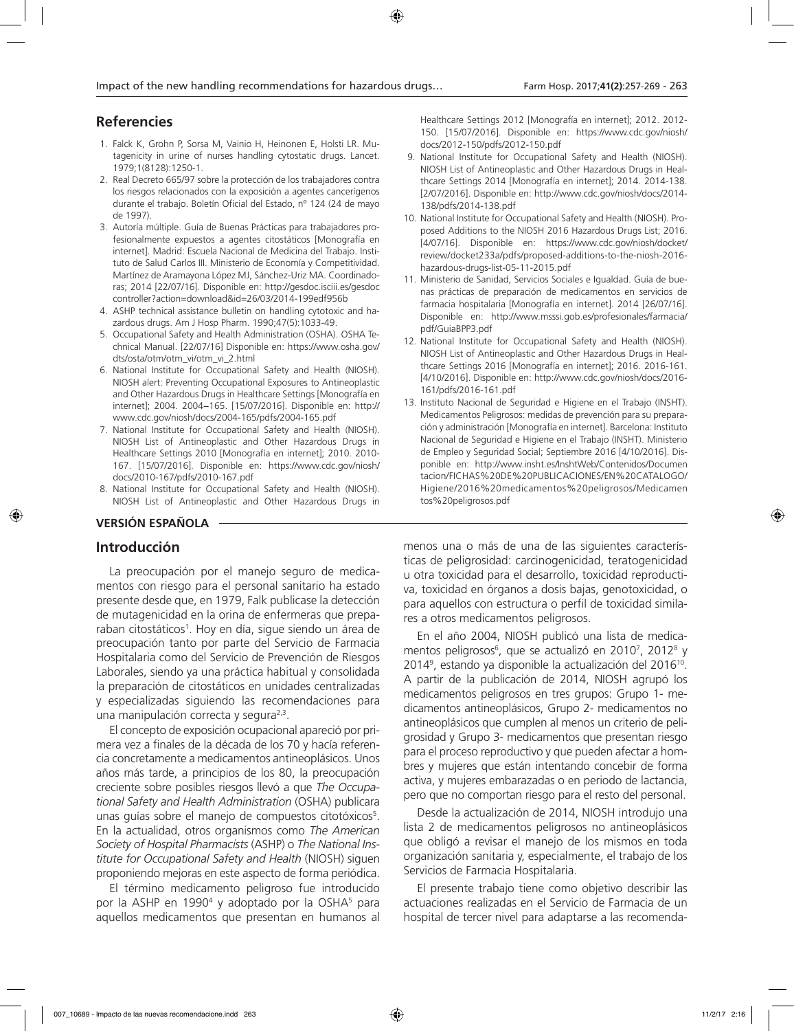## **Referencies**

- 1. Falck K, Grohn P, Sorsa M, Vainio H, Heinonen E, Holsti LR. Mutagenicity in urine of nurses handling cytostatic drugs. Lancet. 1979;1(8128):1250-1.
- 2. Real Decreto 665/97 sobre la protección de los trabajadores contra los riesgos relacionados con la exposición a agentes cancerígenos durante el trabajo. Boletín Oficial del Estado, nº 124 (24 de mayo de 1997).
- 3. Autoría múltiple. Guía de Buenas Prácticas para trabajadores profesionalmente expuestos a agentes citostáticos [Monografía en internet]. Madrid: Escuela Nacional de Medicina del Trabajo. Instituto de Salud Carlos III. Ministerio de Economía y Competitividad. Martínez de Aramayona López MJ, Sánchez-Uriz MA. Coordinadoras; 2014 [22/07/16]. Disponible en: http://gesdoc.isciii.es/gesdoc controller?action=download&id=26/03/2014-199edf956b
- 4. ASHP technical assistance bulletin on handling cytotoxic and hazardous drugs. Am J Hosp Pharm. 1990;47(5):1033-49.
- 5. Occupational Safety and Health Administration (OSHA). OSHA Technical Manual. [22/07/16] Disponible en: https://www.osha.gov/ dts/osta/otm/otm\_vi/otm\_vi\_2.html
- 6. National Institute for Occupational Safety and Health (NIOSH). NIOSH alert: Preventing Occupational Exposures to Antineoplastic and Other Hazardous Drugs in Healthcare Settings [Monografía en internet]; 2004. 2004−165. [15/07/2016]. Disponible en: http:// www.cdc.gov/niosh/docs/2004-165/pdfs/2004-165.pdf
- 7. National Institute for Occupational Safety and Health (NIOSH). NIOSH List of Antineoplastic and Other Hazardous Drugs in Healthcare Settings 2010 [Monografía en internet]; 2010. 2010- 167. [15/07/2016]. Disponible en: https://www.cdc.gov/niosh/ docs/2010-167/pdfs/2010-167.pdf
- 8. National Institute for Occupational Safety and Health (NIOSH). NIOSH List of Antineoplastic and Other Hazardous Drugs in

## **VERSIÓN ESPAÑOLA**

#### **Introducción**

La preocupación por el manejo seguro de medicamentos con riesgo para el personal sanitario ha estado presente desde que, en 1979, Falk publicase la detección de mutagenicidad en la orina de enfermeras que preparaban citostáticos<sup>1</sup>. Hoy en día, sigue siendo un área de preocupación tanto por parte del Servicio de Farmacia Hospitalaria como del Servicio de Prevención de Riesgos Laborales, siendo ya una práctica habitual y consolidada la preparación de citostáticos en unidades centralizadas y especializadas siguiendo las recomendaciones para una manipulación correcta y segura $2,3$ .

El concepto de exposición ocupacional apareció por primera vez a finales de la década de los 70 y hacía referencia concretamente a medicamentos antineoplásicos. Unos años más tarde, a principios de los 80, la preocupación creciente sobre posibles riesgos llevó a que *The Occupational Safety and Health Administration* (OSHA) publicara unas guías sobre el manejo de compuestos citotóxicos<sup>5</sup>. En la actualidad, otros organismos como *The American Society of Hospital Pharmacists* (ASHP) o *The National Institute for Occupational Safety and Health* (NIOSH) siguen proponiendo mejoras en este aspecto de forma periódica.

El término medicamento peligroso fue introducido por la ASHP en 1990<sup>4</sup> y adoptado por la OSHA<sup>5</sup> para aquellos medicamentos que presentan en humanos al

Healthcare Settings 2012 [Monografía en internet]; 2012. 2012- 150. [15/07/2016]. Disponible en: https://www.cdc.gov/niosh/ docs/2012-150/pdfs/2012-150.pdf

- 9. National Institute for Occupational Safety and Health (NIOSH). NIOSH List of Antineoplastic and Other Hazardous Drugs in Healthcare Settings 2014 [Monografía en internet]; 2014. 2014-138. [2/07/2016]. Disponible en: http://www.cdc.gov/niosh/docs/2014- 138/pdfs/2014-138.pdf
- 10. National Institute for Occupational Safety and Health (NIOSH). Proposed Additions to the NIOSH 2016 Hazardous Drugs List; 2016. [4/07/16]. Disponible en: https://www.cdc.gov/niosh/docket/ review/docket233a/pdfs/proposed-additions-to-the-niosh-2016 hazardous-drugs-list-05-11-2015.pdf
- 11. Ministerio de Sanidad, Servicios Sociales e Igualdad. Guía de buenas prácticas de preparación de medicamentos en servicios de farmacia hospitalaria [Monografía en internet]. 2014 [26/07/16]. Disponible en: http://www.msssi.gob.es/profesionales/farmacia/ pdf/GuiaBPP3.pdf
- 12. National Institute for Occupational Safety and Health (NIOSH). NIOSH List of Antineoplastic and Other Hazardous Drugs in Healthcare Settings 2016 [Monografía en internet]; 2016. 2016-161. [4/10/2016]. Disponible en: http://www.cdc.gov/niosh/docs/2016- 161/pdfs/2016-161.pdf
- 13. Instituto Nacional de Seguridad e Higiene en el Trabajo (INSHT). Medicamentos Peligrosos: medidas de prevención para su preparación y administración [Monografía en internet]. Barcelona: Instituto Nacional de Seguridad e Higiene en el Trabajo (INSHT). Ministerio de Empleo y Seguridad Social; Septiembre 2016 [4/10/2016]. Disponible en: http://www.insht.es/InshtWeb/Contenidos/Documen tacion/FICHAS%20DE%20PUBLICACIONES/EN%20CATALOGO/ Higiene/2016%20medicamentos%20peligrosos/Medicamen tos%20peligrosos.pdf

menos una o más de una de las siguientes características de peligrosidad: carcinogenicidad, teratogenicidad u otra toxicidad para el desarrollo, toxicidad reproductiva, toxicidad en órganos a dosis bajas, genotoxicidad, o para aquellos con estructura o perfil de toxicidad similares a otros medicamentos peligrosos.

En el año 2004, NIOSH publicó una lista de medicamentos peligrosos<sup>6</sup>, que se actualizó en 2010<sup>7</sup>, 2012<sup>8</sup> y 20149 , estando ya disponible la actualización del 201610. A partir de la publicación de 2014, NIOSH agrupó los medicamentos peligrosos en tres grupos: Grupo 1- medicamentos antineoplásicos, Grupo 2- medicamentos no antineoplásicos que cumplen al menos un criterio de peligrosidad y Grupo 3- medicamentos que presentan riesgo para el proceso reproductivo y que pueden afectar a hombres y mujeres que están intentando concebir de forma activa, y mujeres embarazadas o en periodo de lactancia, pero que no comportan riesgo para el resto del personal.

Desde la actualización de 2014, NIOSH introdujo una lista 2 de medicamentos peligrosos no antineoplásicos que obligó a revisar el manejo de los mismos en toda organización sanitaria y, especialmente, el trabajo de los Servicios de Farmacia Hospitalaria.

El presente trabajo tiene como objetivo describir las actuaciones realizadas en el Servicio de Farmacia de un hospital de tercer nivel para adaptarse a las recomenda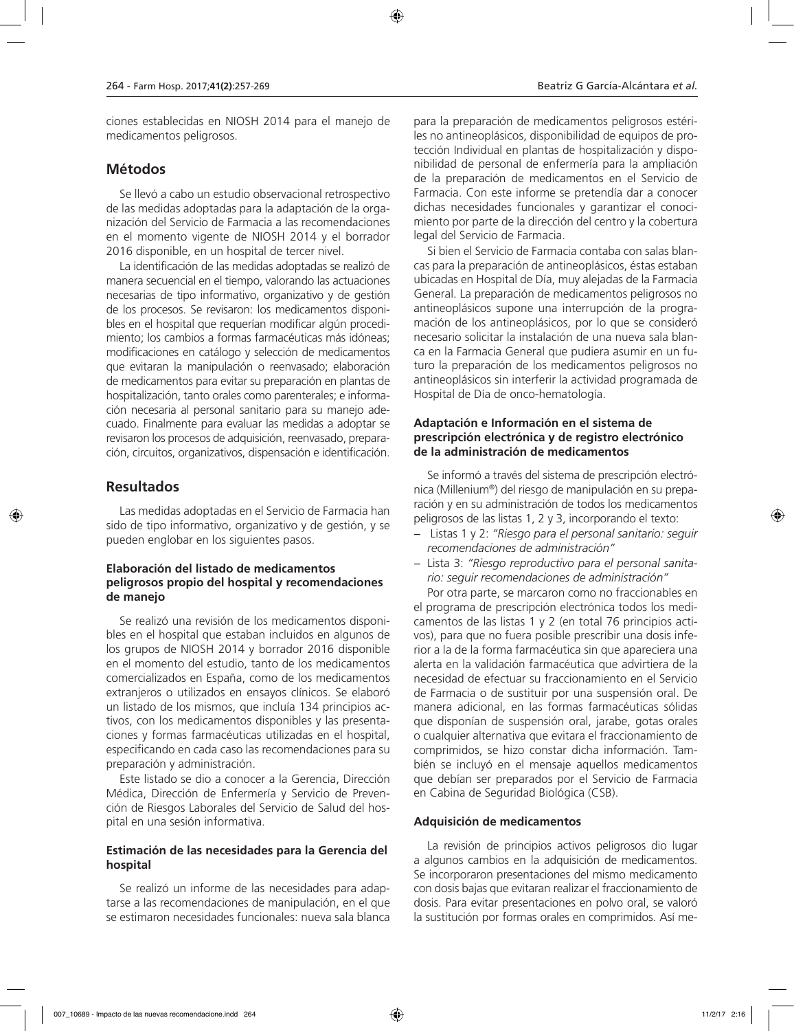ciones establecidas en NIOSH 2014 para el manejo de medicamentos peligrosos.

## **Métodos**

Se llevó a cabo un estudio observacional retrospectivo de las medidas adoptadas para la adaptación de la organización del Servicio de Farmacia a las recomendaciones en el momento vigente de NIOSH 2014 y el borrador 2016 disponible, en un hospital de tercer nivel.

La identificación de las medidas adoptadas se realizó de manera secuencial en el tiempo, valorando las actuaciones necesarias de tipo informativo, organizativo y de gestión de los procesos. Se revisaron: los medicamentos disponibles en el hospital que requerían modificar algún procedimiento; los cambios a formas farmacéuticas más idóneas; modificaciones en catálogo y selección de medicamentos que evitaran la manipulación o reenvasado; elaboración de medicamentos para evitar su preparación en plantas de hospitalización, tanto orales como parenterales; e información necesaria al personal sanitario para su manejo adecuado. Finalmente para evaluar las medidas a adoptar se revisaron los procesos de adquisición, reenvasado, preparación, circuitos, organizativos, dispensación e identificación.

## **Resultados**

Las medidas adoptadas en el Servicio de Farmacia han sido de tipo informativo, organizativo y de gestión, y se pueden englobar en los siguientes pasos.

#### **Elaboración del listado de medicamentos peligrosos propio del hospital y recomendaciones de manejo**

Se realizó una revisión de los medicamentos disponibles en el hospital que estaban incluidos en algunos de los grupos de NIOSH 2014 y borrador 2016 disponible en el momento del estudio, tanto de los medicamentos comercializados en España, como de los medicamentos extranjeros o utilizados en ensayos clínicos. Se elaboró un listado de los mismos, que incluía 134 principios activos, con los medicamentos disponibles y las presentaciones y formas farmacéuticas utilizadas en el hospital, especificando en cada caso las recomendaciones para su preparación y administración.

Este listado se dio a conocer a la Gerencia, Dirección Médica, Dirección de Enfermería y Servicio de Prevención de Riesgos Laborales del Servicio de Salud del hospital en una sesión informativa.

#### **Estimación de las necesidades para la Gerencia del hospital**

Se realizó un informe de las necesidades para adaptarse a las recomendaciones de manipulación, en el que se estimaron necesidades funcionales: nueva sala blanca

para la preparación de medicamentos peligrosos estériles no antineoplásicos, disponibilidad de equipos de protección Individual en plantas de hospitalización y disponibilidad de personal de enfermería para la ampliación de la preparación de medicamentos en el Servicio de Farmacia. Con este informe se pretendía dar a conocer dichas necesidades funcionales y garantizar el conocimiento por parte de la dirección del centro y la cobertura legal del Servicio de Farmacia.

Si bien el Servicio de Farmacia contaba con salas blancas para la preparación de antineoplásicos, éstas estaban ubicadas en Hospital de Día, muy alejadas de la Farmacia General. La preparación de medicamentos peligrosos no antineoplásicos supone una interrupción de la programación de los antineoplásicos, por lo que se consideró necesario solicitar la instalación de una nueva sala blanca en la Farmacia General que pudiera asumir en un futuro la preparación de los medicamentos peligrosos no antineoplásicos sin interferir la actividad programada de Hospital de Día de onco-hematología.

#### **Adaptación e Información en el sistema de prescripción electrónica y de registro electrónico de la administración de medicamentos**

Se informó a través del sistema de prescripción electrónica (Millenium®) del riesgo de manipulación en su preparación y en su administración de todos los medicamentos peligrosos de las listas 1, 2 y 3, incorporando el texto:

- − Listas 1 y 2: *"Riesgo para el personal sanitario: seguir recomendaciones de administración"*
- − Lista 3: *"Riesgo reproductivo para el personal sanitario: seguir recomendaciones de administración"*

Por otra parte, se marcaron como no fraccionables en el programa de prescripción electrónica todos los medicamentos de las listas 1 y 2 (en total 76 principios activos), para que no fuera posible prescribir una dosis inferior a la de la forma farmacéutica sin que apareciera una alerta en la validación farmacéutica que advirtiera de la necesidad de efectuar su fraccionamiento en el Servicio de Farmacia o de sustituir por una suspensión oral. De manera adicional, en las formas farmacéuticas sólidas que disponían de suspensión oral, jarabe, gotas orales o cualquier alternativa que evitara el fraccionamiento de comprimidos, se hizo constar dicha información. También se incluyó en el mensaje aquellos medicamentos que debían ser preparados por el Servicio de Farmacia en Cabina de Seguridad Biológica (CSB).

#### **Adquisición de medicamentos**

La revisión de principios activos peligrosos dio lugar a algunos cambios en la adquisición de medicamentos. Se incorporaron presentaciones del mismo medicamento con dosis bajas que evitaran realizar el fraccionamiento de dosis. Para evitar presentaciones en polvo oral, se valoró la sustitución por formas orales en comprimidos. Así me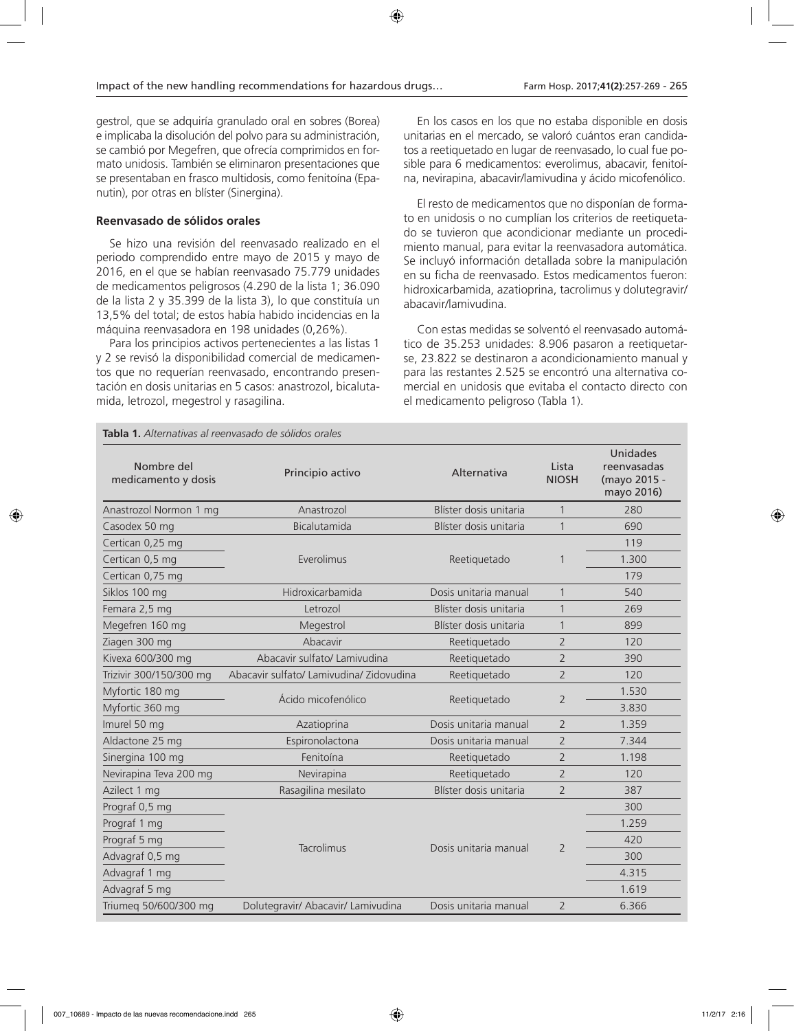gestrol, que se adquiría granulado oral en sobres (Borea) e implicaba la disolución del polvo para su administración, se cambió por Megefren, que ofrecía comprimidos en formato unidosis. También se eliminaron presentaciones que se presentaban en frasco multidosis, como fenitoína (Epanutin), por otras en blíster (Sinergina).

#### **Reenvasado de sólidos orales**

Se hizo una revisión del reenvasado realizado en el periodo comprendido entre mayo de 2015 y mayo de 2016, en el que se habían reenvasado 75.779 unidades de medicamentos peligrosos (4.290 de la lista 1; 36.090 de la lista 2 y 35.399 de la lista 3), lo que constituía un 13,5% del total; de estos había habido incidencias en la máquina reenvasadora en 198 unidades (0,26%).

Para los principios activos pertenecientes a las listas 1 y 2 se revisó la disponibilidad comercial de medicamentos que no requerían reenvasado, encontrando presentación en dosis unitarias en 5 casos: anastrozol, bicalutamida, letrozol, megestrol y rasagilina.

En los casos en los que no estaba disponible en dosis unitarias en el mercado, se valoró cuántos eran candidatos a reetiquetado en lugar de reenvasado, lo cual fue posible para 6 medicamentos: everolimus, abacavir, fenitoína, nevirapina, abacavir/lamivudina y ácido micofenólico.

El resto de medicamentos que no disponían de formato en unidosis o no cumplían los criterios de reetiquetado se tuvieron que acondicionar mediante un procedimiento manual, para evitar la reenvasadora automática. Se incluyó información detallada sobre la manipulación en su ficha de reenvasado. Estos medicamentos fueron: hidroxicarbamida, azatioprina, tacrolimus y dolutegravir/ abacavir/lamivudina.

Con estas medidas se solventó el reenvasado automático de 35.253 unidades: 8.906 pasaron a reetiquetarse, 23.822 se destinaron a acondicionamiento manual y para las restantes 2.525 se encontró una alternativa comercial en unidosis que evitaba el contacto directo con el medicamento peligroso (Tabla 1).

| Nombre del<br>medicamento y dosis | Principio activo                         | Alternativa            | Lista<br><b>NIOSH</b> | <b>Unidades</b><br>reenvasadas<br>(mayo 2015 -<br>mayo 2016) |
|-----------------------------------|------------------------------------------|------------------------|-----------------------|--------------------------------------------------------------|
| Anastrozol Normon 1 mg            | Anastrozol                               | Blíster dosis unitaria | $\mathbf{1}$          | 280                                                          |
| Casodex 50 mg                     | Bicalutamida                             | Blíster dosis unitaria | $\mathbf{1}$          | 690                                                          |
| Certican 0,25 mg                  |                                          |                        |                       | 119                                                          |
| Certican 0,5 mg                   | Everolimus                               | Reetiquetado           | 1                     | 1.300                                                        |
| Certican 0,75 mg                  |                                          |                        |                       | 179                                                          |
| Siklos 100 mg                     | Hidroxicarbamida                         | Dosis unitaria manual  | $\mathbf{1}$          | 540                                                          |
| Femara 2,5 mg                     | Letrozol                                 | Blíster dosis unitaria | 1                     | 269                                                          |
| Megefren 160 mg                   | Megestrol                                | Blíster dosis unitaria | $\mathbf{1}$          | 899                                                          |
| Ziagen 300 mg                     | Abacavir                                 | Reetiquetado           | $\overline{2}$        | 120                                                          |
| Kivexa 600/300 mg                 | Abacavir sulfato/ Lamivudina             | Reetiquetado           | $\overline{2}$        | 390                                                          |
| Trizivir 300/150/300 mg           | Abacavir sulfato/ Lamivudina/ Zidovudina | Reetiquetado           | $\overline{2}$        | 120                                                          |
| Myfortic 180 mg                   | Ácido micofenólico                       |                        | $\overline{2}$        | 1.530                                                        |
| Myfortic 360 mg                   |                                          | Reetiquetado           |                       | 3.830                                                        |
| Imurel 50 mg                      | Azatioprina                              | Dosis unitaria manual  | $\overline{2}$        | 1.359                                                        |
| Aldactone 25 mg                   | Espironolactona                          | Dosis unitaria manual  | $\overline{2}$        | 7.344                                                        |
| Sinergina 100 mg                  | Fenitoína                                | Reetiquetado           | $\overline{2}$        | 1.198                                                        |
| Nevirapina Teva 200 mg            | Nevirapina                               | Reetiquetado           | $\overline{2}$        | 120                                                          |
| Azilect 1 mg                      | Rasagilina mesilato                      | Blíster dosis unitaria | $\overline{2}$        | 387                                                          |
| Prograf 0,5 mg                    |                                          | Dosis unitaria manual  | $\overline{2}$        | 300                                                          |
| Prograf 1 mg                      |                                          |                        |                       | 1.259                                                        |
| Prograf 5 mg                      |                                          |                        |                       | 420                                                          |
| Advagraf 0,5 mg                   | Tacrolimus                               |                        |                       | 300                                                          |
| Advagraf 1 mg                     |                                          |                        |                       | 4.315                                                        |
| Advagraf 5 mg                     |                                          |                        |                       | 1.619                                                        |
| Triumeq 50/600/300 mg             | Dolutegravir/ Abacavir/ Lamivudina       | Dosis unitaria manual  | $\overline{2}$        | 6.366                                                        |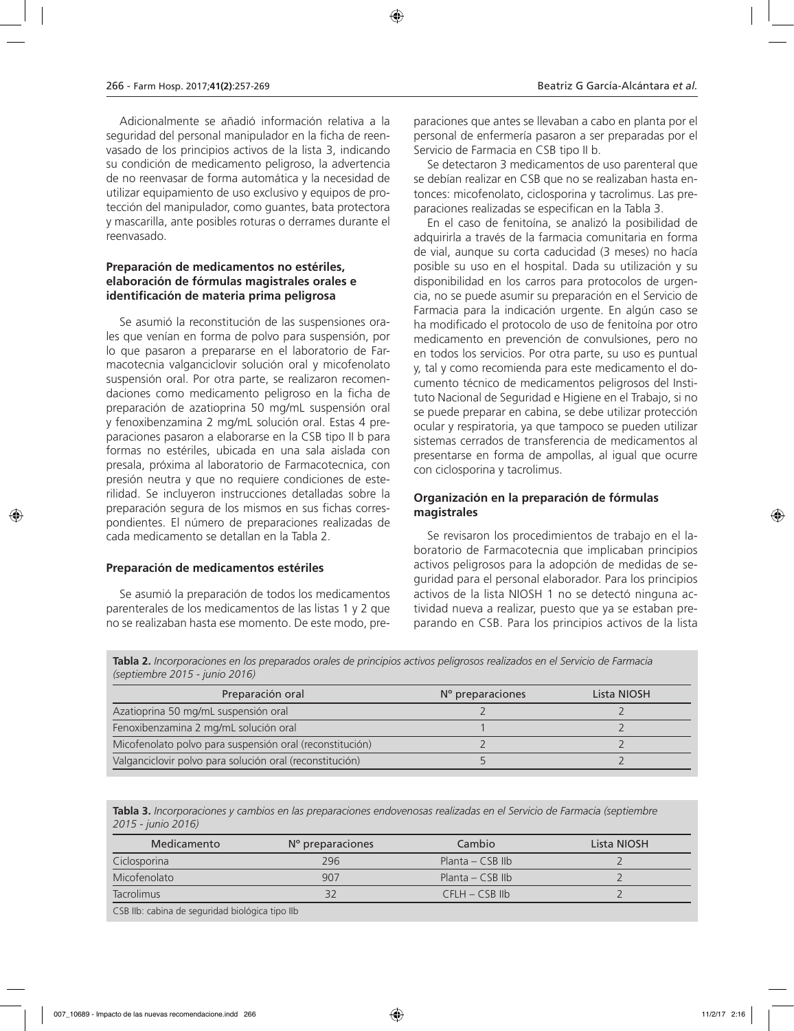Adicionalmente se añadió información relativa a la seguridad del personal manipulador en la ficha de reenvasado de los principios activos de la lista 3, indicando su condición de medicamento peligroso, la advertencia de no reenvasar de forma automática y la necesidad de utilizar equipamiento de uso exclusivo y equipos de protección del manipulador, como guantes, bata protectora y mascarilla, ante posibles roturas o derrames durante el reenvasado.

#### **Preparación de medicamentos no estériles, elaboración de fórmulas magistrales orales e identificación de materia prima peligrosa**

Se asumió la reconstitución de las suspensiones orales que venían en forma de polvo para suspensión, por lo que pasaron a prepararse en el laboratorio de Farmacotecnia valganciclovir solución oral y micofenolato suspensión oral. Por otra parte, se realizaron recomendaciones como medicamento peligroso en la ficha de preparación de azatioprina 50 mg/mL suspensión oral y fenoxibenzamina 2 mg/mL solución oral. Estas 4 preparaciones pasaron a elaborarse en la CSB tipo II b para formas no estériles, ubicada en una sala aislada con presala, próxima al laboratorio de Farmacotecnica, con presión neutra y que no requiere condiciones de esterilidad. Se incluyeron instrucciones detalladas sobre la preparación segura de los mismos en sus fichas correspondientes. El número de preparaciones realizadas de cada medicamento se detallan en la Tabla 2.

#### **Preparación de medicamentos estériles**

Se asumió la preparación de todos los medicamentos parenterales de los medicamentos de las listas 1 y 2 que no se realizaban hasta ese momento. De este modo, preparaciones que antes se llevaban a cabo en planta por el personal de enfermería pasaron a ser preparadas por el Servicio de Farmacia en CSB tipo II b.

Se detectaron 3 medicamentos de uso parenteral que se debían realizar en CSB que no se realizaban hasta entonces: micofenolato, ciclosporina y tacrolimus. Las preparaciones realizadas se especifican en la Tabla 3.

En el caso de fenitoína, se analizó la posibilidad de adquirirla a través de la farmacia comunitaria en forma de vial, aunque su corta caducidad (3 meses) no hacía posible su uso en el hospital. Dada su utilización y su disponibilidad en los carros para protocolos de urgencia, no se puede asumir su preparación en el Servicio de Farmacia para la indicación urgente. En algún caso se ha modificado el protocolo de uso de fenitoína por otro medicamento en prevención de convulsiones, pero no en todos los servicios. Por otra parte, su uso es puntual y, tal y como recomienda para este medicamento el documento técnico de medicamentos peligrosos del Instituto Nacional de Seguridad e Higiene en el Trabajo, si no se puede preparar en cabina, se debe utilizar protección ocular y respiratoria, ya que tampoco se pueden utilizar sistemas cerrados de transferencia de medicamentos al presentarse en forma de ampollas, al igual que ocurre con ciclosporina y tacrolimus.

#### **Organización en la preparación de fórmulas magistrales**

Se revisaron los procedimientos de trabajo en el laboratorio de Farmacotecnia que implicaban principios activos peligrosos para la adopción de medidas de seguridad para el personal elaborador. Para los principios activos de la lista NIOSH 1 no se detectó ninguna actividad nueva a realizar, puesto que ya se estaban preparando en CSB. Para los principios activos de la lista

**Tabla 2.** *Incorporaciones en los preparados orales de principios activos peligrosos realizados en el Servicio de Farmacia (septiembre 2015 - junio 2016)*

| Preparación oral                                         | $No$ preparaciones | Lista NIOSH |
|----------------------------------------------------------|--------------------|-------------|
| Azatioprina 50 mg/mL suspensión oral                     |                    |             |
| Fenoxibenzamina 2 mg/mL solución oral                    |                    |             |
| Micofenolato polvo para suspensión oral (reconstitución) |                    |             |
| Valganciclovir polvo para solución oral (reconstitución) |                    |             |

**Tabla 3.** *Incorporaciones y cambios en las preparaciones endovenosas realizadas en el Servicio de Farmacia (septiembre 2015 - junio 2016)*

| Medicamento       | N° preparaciones | Cambio             | Lista NIOSH |
|-------------------|------------------|--------------------|-------------|
| Ciclosporina      | 296              | Planta – CSB IIb   |             |
| Micofenolato      | 907              | Planta – $CSB$ Ilb |             |
| <b>Tacrolimus</b> | 32               | $CHH - CSB$ llb    |             |
|                   |                  |                    |             |

CSB IIb: cabina de seguridad biológica tipo IIb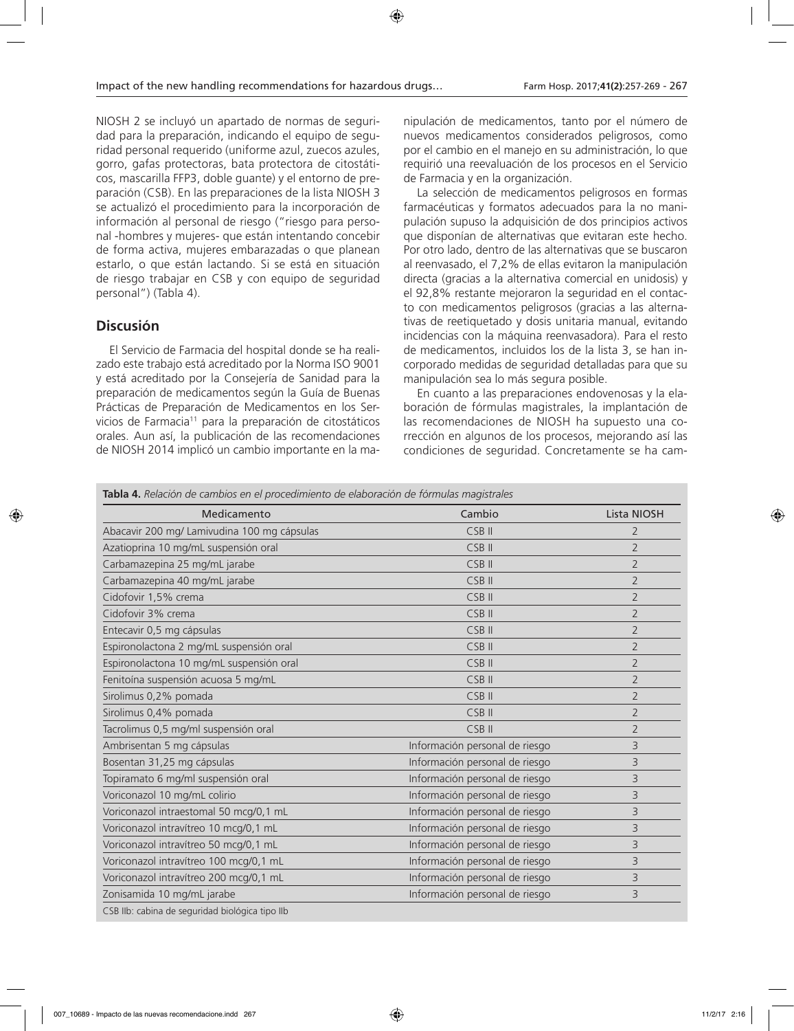NIOSH 2 se incluyó un apartado de normas de seguridad para la preparación, indicando el equipo de seguridad personal requerido (uniforme azul, zuecos azules, gorro, gafas protectoras, bata protectora de citostáticos, mascarilla FFP3, doble guante) y el entorno de preparación (CSB). En las preparaciones de la lista NIOSH 3 se actualizó el procedimiento para la incorporación de información al personal de riesgo ("riesgo para personal -hombres y mujeres- que están intentando concebir de forma activa, mujeres embarazadas o que planean estarlo, o que están lactando. Si se está en situación de riesgo trabajar en CSB y con equipo de seguridad personal") (Tabla 4).

## **Discusión**

El Servicio de Farmacia del hospital donde se ha realizado este trabajo está acreditado por la Norma ISO 9001 y está acreditado por la Consejería de Sanidad para la preparación de medicamentos según la Guía de Buenas Prácticas de Preparación de Medicamentos en los Servicios de Farmacia11 para la preparación de citostáticos orales. Aun así, la publicación de las recomendaciones de NIOSH 2014 implicó un cambio importante en la ma-

nipulación de medicamentos, tanto por el número de nuevos medicamentos considerados peligrosos, como por el cambio en el manejo en su administración, lo que requirió una reevaluación de los procesos en el Servicio de Farmacia y en la organización.

La selección de medicamentos peligrosos en formas farmacéuticas y formatos adecuados para la no manipulación supuso la adquisición de dos principios activos que disponían de alternativas que evitaran este hecho. Por otro lado, dentro de las alternativas que se buscaron al reenvasado, el 7,2% de ellas evitaron la manipulación directa (gracias a la alternativa comercial en unidosis) y el 92,8% restante mejoraron la seguridad en el contacto con medicamentos peligrosos (gracias a las alternativas de reetiquetado y dosis unitaria manual, evitando incidencias con la máquina reenvasadora). Para el resto de medicamentos, incluidos los de la lista 3, se han incorporado medidas de seguridad detalladas para que su manipulación sea lo más segura posible.

En cuanto a las preparaciones endovenosas y la elaboración de fórmulas magistrales, la implantación de las recomendaciones de NIOSH ha supuesto una corrección en algunos de los procesos, mejorando así las condiciones de seguridad. Concretamente se ha cam-

**Tabla 4.** *Relación de cambios en el procedimiento de elaboración de fórmulas magistrales*

| Medicamento                                     | Cambio                         | <b>Lista NIOSH</b> |
|-------------------------------------------------|--------------------------------|--------------------|
| Abacavir 200 mg/ Lamivudina 100 mg cápsulas     | CSB <sub>II</sub>              | 2                  |
|                                                 | CSB <sub>II</sub>              | $\overline{2}$     |
| Azatioprina 10 mg/mL suspensión oral            |                                |                    |
| Carbamazepina 25 mg/mL jarabe                   | CSB <sub>II</sub>              | $\overline{2}$     |
| Carbamazepina 40 mg/mL jarabe                   | CSB <sub>II</sub>              | $\overline{2}$     |
| Cidofovir 1,5% crema                            | CSB <sub>II</sub>              | $\overline{2}$     |
| Cidofovir 3% crema                              | CSB <sub>II</sub>              | $\overline{2}$     |
| Entecavir 0,5 mg cápsulas                       | CSB <sub>II</sub>              | $\overline{2}$     |
| Espironolactona 2 mg/mL suspensión oral         | CSB <sub>II</sub>              | $\overline{2}$     |
| Espironolactona 10 mg/mL suspensión oral        | CSB <sub>II</sub>              | $\overline{2}$     |
| Fenitoína suspensión acuosa 5 mg/mL             | CSB <sub>II</sub>              | $\overline{2}$     |
| Sirolimus 0,2% pomada                           | CSB <sub>II</sub>              | $\overline{2}$     |
| Sirolimus 0,4% pomada                           | CSB <sub>II</sub>              | $\overline{2}$     |
| Tacrolimus 0,5 mg/ml suspensión oral            | CSB <sub>II</sub>              | $\overline{2}$     |
| Ambrisentan 5 mg cápsulas                       | Información personal de riesgo | 3                  |
| Bosentan 31,25 mg cápsulas                      | Información personal de riesgo | 3                  |
| Topiramato 6 mg/ml suspensión oral              | Información personal de riesgo | 3                  |
| Voriconazol 10 mg/mL colirio                    | Información personal de riesgo | 3                  |
| Voriconazol intraestomal 50 mcg/0,1 mL          | Información personal de riesgo | 3                  |
| Voriconazol intravítreo 10 mcg/0,1 mL           | Información personal de riesgo | 3                  |
| Voriconazol intravítreo 50 mcg/0,1 mL           | Información personal de riesgo | 3                  |
| Voriconazol intravítreo 100 mcg/0,1 mL          | Información personal de riesgo | 3                  |
| Voriconazol intravítreo 200 mcg/0,1 mL          | Información personal de riesgo | 3                  |
| Zonisamida 10 mg/mL jarabe                      | Información personal de riesgo | 3                  |
| CSB Ilb: cabina de seguridad biológica tipo Ilb |                                |                    |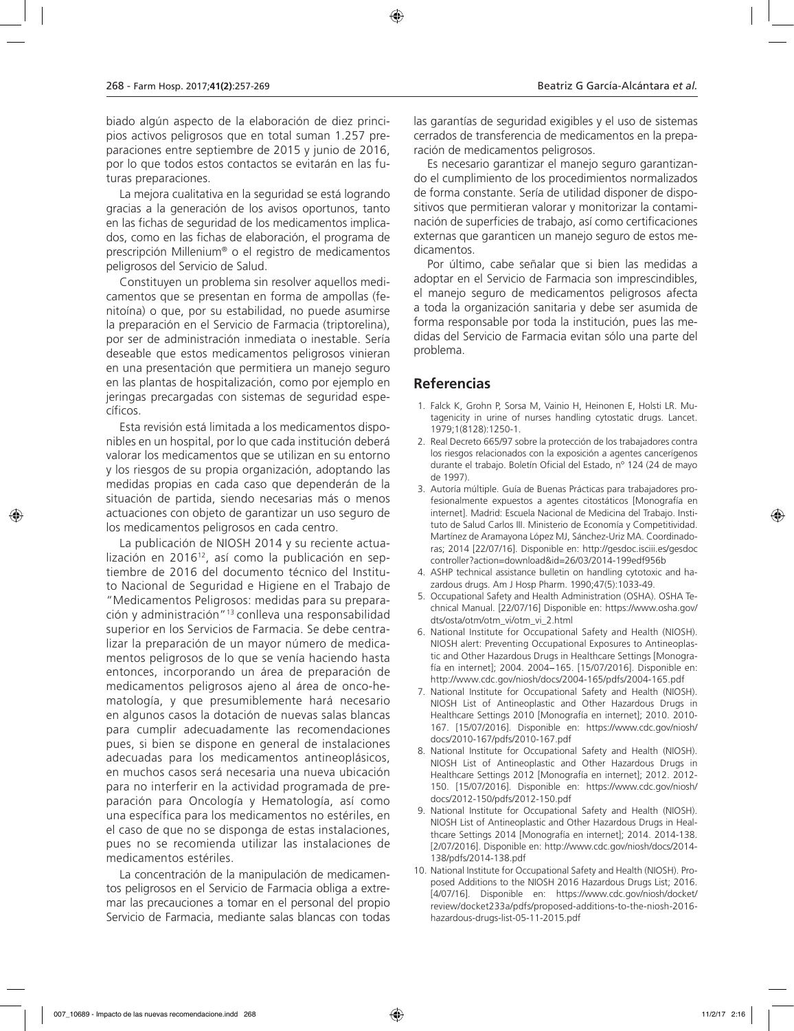biado algún aspecto de la elaboración de diez principios activos peligrosos que en total suman 1.257 preparaciones entre septiembre de 2015 y junio de 2016, por lo que todos estos contactos se evitarán en las futuras preparaciones.

La mejora cualitativa en la seguridad se está logrando gracias a la generación de los avisos oportunos, tanto en las fichas de seguridad de los medicamentos implicados, como en las fichas de elaboración, el programa de prescripción Millenium® o el registro de medicamentos peligrosos del Servicio de Salud.

Constituyen un problema sin resolver aquellos medicamentos que se presentan en forma de ampollas (fenitoína) o que, por su estabilidad, no puede asumirse la preparación en el Servicio de Farmacia (triptorelina), por ser de administración inmediata o inestable. Sería deseable que estos medicamentos peligrosos vinieran en una presentación que permitiera un manejo seguro en las plantas de hospitalización, como por ejemplo en jeringas precargadas con sistemas de seguridad específicos.

Esta revisión está limitada a los medicamentos disponibles en un hospital, por lo que cada institución deberá valorar los medicamentos que se utilizan en su entorno y los riesgos de su propia organización, adoptando las medidas propias en cada caso que dependerán de la situación de partida, siendo necesarias más o menos actuaciones con objeto de garantizar un uso seguro de los medicamentos peligrosos en cada centro.

La publicación de NIOSH 2014 y su reciente actualización en 2016<sup>12</sup>, así como la publicación en septiembre de 2016 del documento técnico del Instituto Nacional de Seguridad e Higiene en el Trabajo de "Medicamentos Peligrosos: medidas para su preparación y administración"13 conlleva una responsabilidad superior en los Servicios de Farmacia. Se debe centralizar la preparación de un mayor número de medicamentos peligrosos de lo que se venía haciendo hasta entonces, incorporando un área de preparación de medicamentos peligrosos ajeno al área de onco-hematología, y que presumiblemente hará necesario en algunos casos la dotación de nuevas salas blancas para cumplir adecuadamente las recomendaciones pues, si bien se dispone en general de instalaciones adecuadas para los medicamentos antineoplásicos, en muchos casos será necesaria una nueva ubicación para no interferir en la actividad programada de preparación para Oncología y Hematología, así como una específica para los medicamentos no estériles, en el caso de que no se disponga de estas instalaciones, pues no se recomienda utilizar las instalaciones de medicamentos estériles.

La concentración de la manipulación de medicamentos peligrosos en el Servicio de Farmacia obliga a extremar las precauciones a tomar en el personal del propio Servicio de Farmacia, mediante salas blancas con todas

las garantías de seguridad exigibles y el uso de sistemas cerrados de transferencia de medicamentos en la preparación de medicamentos peligrosos.

Es necesario garantizar el manejo seguro garantizando el cumplimiento de los procedimientos normalizados de forma constante. Sería de utilidad disponer de dispositivos que permitieran valorar y monitorizar la contaminación de superficies de trabajo, así como certificaciones externas que garanticen un manejo seguro de estos medicamentos.

Por último, cabe señalar que si bien las medidas a adoptar en el Servicio de Farmacia son imprescindibles, el manejo seguro de medicamentos peligrosos afecta a toda la organización sanitaria y debe ser asumida de forma responsable por toda la institución, pues las medidas del Servicio de Farmacia evitan sólo una parte del problema.

## **Referencias**

- 1. Falck K, Grohn P, Sorsa M, Vainio H, Heinonen E, Holsti LR. Mutagenicity in urine of nurses handling cytostatic drugs. Lancet. 1979;1(8128):1250-1.
- 2. Real Decreto 665/97 sobre la protección de los trabajadores contra los riesgos relacionados con la exposición a agentes cancerígenos durante el trabajo. Boletín Oficial del Estado, nº 124 (24 de mayo de 1997).
- 3. Autoría múltiple. Guía de Buenas Prácticas para trabajadores profesionalmente expuestos a agentes citostáticos [Monografía en internet]. Madrid: Escuela Nacional de Medicina del Trabajo. Instituto de Salud Carlos III. Ministerio de Economía y Competitividad. Martínez de Aramayona López MJ, Sánchez-Uriz MA. Coordinadoras; 2014 [22/07/16]. Disponible en: http://gesdoc.isciii.es/gesdoc controller?action=download&id=26/03/2014-199edf956b
- 4. ASHP technical assistance bulletin on handling cytotoxic and hazardous drugs. Am J Hosp Pharm. 1990;47(5):1033-49.
- 5. Occupational Safety and Health Administration (OSHA). OSHA Technical Manual. [22/07/16] Disponible en: https://www.osha.gov/ dts/osta/otm/otm\_vi/otm\_vi\_2.html
- 6. National Institute for Occupational Safety and Health (NIOSH). NIOSH alert: Preventing Occupational Exposures to Antineoplastic and Other Hazardous Drugs in Healthcare Settings [Monografía en internet]; 2004. 2004−165. [15/07/2016]. Disponible en: http://www.cdc.gov/niosh/docs/2004-165/pdfs/2004-165.pdf
- 7. National Institute for Occupational Safety and Health (NIOSH). NIOSH List of Antineoplastic and Other Hazardous Drugs in Healthcare Settings 2010 [Monografía en internet]; 2010. 2010- 167. [15/07/2016]. Disponible en: https://www.cdc.gov/niosh/ docs/2010-167/pdfs/2010-167.pdf
- 8. National Institute for Occupational Safety and Health (NIOSH). NIOSH List of Antineoplastic and Other Hazardous Drugs in Healthcare Settings 2012 [Monografía en internet]; 2012. 2012- 150. [15/07/2016]. Disponible en: https://www.cdc.gov/niosh/ docs/2012-150/pdfs/2012-150.pdf
- 9. National Institute for Occupational Safety and Health (NIOSH). NIOSH List of Antineoplastic and Other Hazardous Drugs in Healthcare Settings 2014 [Monografía en internet]; 2014. 2014-138. [2/07/2016]. Disponible en: http://www.cdc.gov/niosh/docs/2014- 138/pdfs/2014-138.pdf
- 10. National Institute for Occupational Safety and Health (NIOSH). Proposed Additions to the NIOSH 2016 Hazardous Drugs List; 2016. [4/07/16]. Disponible en: https://www.cdc.gov/niosh/docket/ review/docket233a/pdfs/proposed-additions-to-the-niosh-2016 hazardous-drugs-list-05-11-2015.pdf